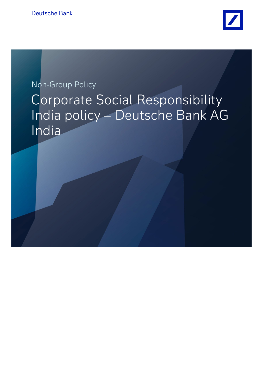

# Non-Group Policy Corporate Social Responsibility India policy – Deutsche Bank AG India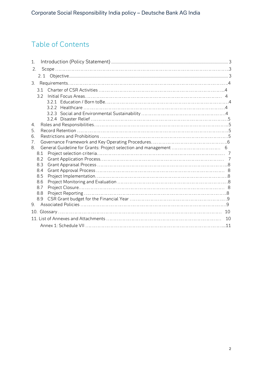# Table of Contents

| $\mathbf{1}$ . |    |
|----------------|----|
| 2.             |    |
|                |    |
| 3.             |    |
| 31             |    |
| 32             |    |
|                |    |
|                |    |
|                |    |
|                |    |
| 4.             |    |
| 5.<br>6.       |    |
| 7.             |    |
| 8              |    |
| 8.1            |    |
| 8.2            |    |
| 8.3            |    |
| 8.4            |    |
| 8.5            |    |
| 8.6            |    |
| 8.7            |    |
| 8.8<br>8.9     |    |
| 9.             |    |
|                | 10 |
|                |    |
|                | 10 |
|                |    |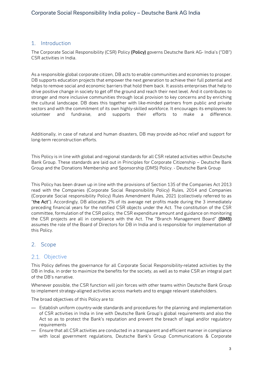#### <span id="page-2-0"></span>1. Introduction

The Corporate Social Responsibility (CSR) Policy (Policy) governs Deutsche Bank AG- India's ("DB") CSR activities in India.

As a responsible global corporate citizen, DB acts to enable communities and economies to prosper. DB supports education projects that empower the next generation to achieve their full potential and helps to remove social and economic barriers that hold them back. It assists enterprises that help to drive positive change in society to get off the ground and reach their next level. And it contributes to stronger and more inclusive communities through local provision to key concerns and by enriching the cultural landscape. DB does this together with like-minded partners from public and private sectors and with the commitment of its own highly-skilled workforce. It encourages its employees to volunteer and fundraise, and supports their efforts to make a difference.

Additionally, in case of natural and human disasters, DB may provide ad-hoc relief and support for long-term reconstruction efforts.

This Policy is in line with global and regional standards for all CSR related activities within Deutsche Bank Group. These standards are laid out in Principles for Corporate Citizenship – Deutsche Bank Group and the Donations Membership and Sponsorship (DMS) Policy. - Deutsche Bank Group

This Policy has been drawn up in line with the provisions of Section 135 of the Companies Act 2013 read with the Companies (Corporate Social Responsibility Policy) Rules, 2014 and Companies (Corporate Social responsibility Policy) Rules Amendment Rules, 2021 (collectively referred to as "the Act"). Accordingly, DB allocates 2% of its average net profits made during the 3 immediately preceding financial years for the notified CSR objects under the Act. The constitution of the CSR committee, formulation of the CSR policy, the CSR expenditure amount and guidance on monitoring the CSR projects are all in compliance with the Act. The "Branch Management Board" (BMB) assumes the role of the Board of Directors for DB in India and is responsible for implementation of this Policy.

#### <span id="page-2-1"></span>2. Scope

#### 2.1. Objective

This Policy defines the governance for all Corporate Social Responsibility-related activities by the DB in India, in order to maximize the benefits for the society, as well as to make CSR an integral part of the DB's narrative.

Whenever possible, the CSR function will join forces with other teams within Deutsche Bank Group to implement strategy-aligned activities across markets and to engage relevant stakeholders.

The broad objectives of this Policy are to:

- Establish uniform country-wide standards and procedures for the planning and implementation of CSR activities in India in line with Deutsche Bank Group's global requirements and also the Act so as to protect the Bank's reputation and prevent the breach of legal and/or regulatory requirements
- Ensure that all CSR activities are conducted in a transparent and efficient manner in compliance with local government regulations, Deutsche Bank's Group Communications & Corporate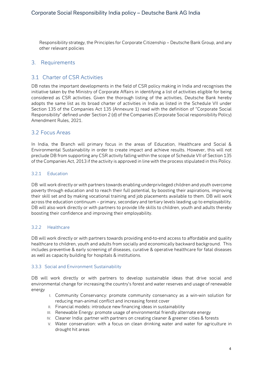Responsibility strategy, the Principles for Corporate Citizenship – Deutsche Bank Group, and any other relevant policies

#### 3. Requirements

#### 3.1 Charter of CSR Activities

DB notes the important developments in the field of CSR policy making in India and recognises the initiative taken by the Ministry of Corporate Affairs in identifying a list of activities eligible for being considered as CSR activities. Given the thorough listing of the activities, Deutsche Bank hereby adopts the same list as its broad charter of activities in India as listed in the Schedule VII under Section 135 of the Companies Act 135 (Annexure 1) read with the definition of "Corporate Social Responsibility" defined under Section 2 (d) of the Companies (Corporate Social responsibility Policy) Amendment Rules, 2021.

#### 3.2 Focus Areas

In India, the Branch will primary focus in the areas of Education, Healthcare and Social & Environmental Sustainability in order to create impact and achieve results. However, this will not preclude DB from supporting any CSR activity falling within the scope of Schedule VII of Section 135 of the Companies Act, 2013 if the activity is approved in line with the process stipulated in this Policy.

#### 3.2.1 Education

DB will work directly or with partners towards enabling underprivileged children and youth overcome poverty through education and to reach their full potential, by boosting their aspirations, improving their skill set and by making vocational training and job placements available to them. DB will work across the education continuum – primary, secondary and tertiary levels leading up to employability. DB will also work directly or with partners to provide life skills to children, youth and adults thereby boosting their confidence and improving their employability.

#### 3.2.2 Healthcare

DB will work directly or with partners towards providing end-to-end access to affordable and quality healthcare to children, youth and adults from socially and economically backward background. This includes preventive & early screening of diseases, curative & operative healthcare for fatal diseases as well as capacity building for hospitals & institutions.

#### 3.3.3 Social and Environment Sustainability

DB will work directly or with partners to develop sustainable ideas that drive social and environmental change for increasing the country's forest and water reserves and usage of renewable energy

- I. Community Conservancy: promote community conservancy as a win-win solution for reducing man-animal conflict and increasing forest cover
- II. Financial models: introduce new financing ideas in sustainability
- III. Renewable Energy: promote usage of environmental friendly alternate energy
- IV. Cleaner India: partner with partners on creating cleaner & greener cities & forests
- V. Water conservation: with a focus on clean drinking water and water for agriculture in drought hit areas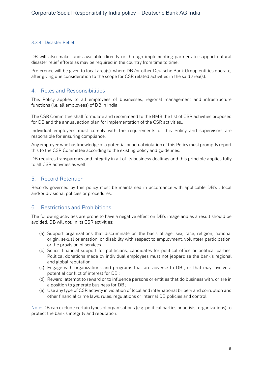#### 3.3.4 Disaster Relief

DB will also make funds available directly or through implementing partners to support natural disaster relief efforts as may be required in the country from time to time.

Preference will be given to local area(s), where DB /or other Deutsche Bank Group entities operate, after giving due consideration to the scope for CSR related activities in the said area(s).

#### 4. Roles and Responsibilities

This Policy applies to all employees of businesses, regional management and infrastructure functions (i.e. all employees) of DB in India.

The CSR Committee shall formulate and recommend to the BMB the list of CSR activities proposed for DB and the annual action plan for implementation of the CSR activities..

Individual employees must comply with the requirements of this Policy and supervisors are responsible for ensuring compliance.

Any employee who has knowledge of a potential or actual violation of this Policy must promptly report this to the CSR Committee according to the existing policy and guidelines.

DB requires transparency and integrity in all of its business dealings and this principle applies fully to all CSR activities as well.

#### 5. Record Retention

Records governed by this policy must be maintained in accordance with applicable DB's , local and/or divisional policies or procedures.

#### 6. Restrictions and Prohibitions

The following activities are prone to have a negative effect on DB's image and as a result should be avoided. DB will *not,* in its CSR activities:

- (a) Support organizations that discriminate on the basis of age, sex, race, religion, national origin, sexual orientation, or disability with respect to employment, volunteer participation, or the provision of services
- (b) Solicit financial support for politicians, candidates for political office or political parties. Political donations made by individual employees must not jeopardize the bank's regional and global reputation
- (c) Engage with organizations and programs that are adverse to DB , or that may involve a potential conflict of interest for DB ;
- (d) Reward, attempt to reward or to influence persons or entities that do business with, or are in a position to generate business for DB ;
- (e) Use any type of CSR activity in violation of local and international bribery and corruption and other financial crime laws, rules, regulations or internal DB policies and control

Note: DB can exclude certain types of organisations (e.g. political parties or activist organizations) to protect the bank's integrity and reputation.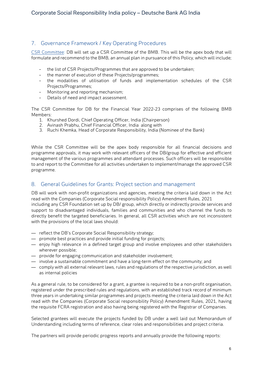# 7. Governance Framework / Key Operating Procedures

CSR Committee: DB will set up a CSR Committee of the BMB. This will be the apex body that will formulate and recommend to the BMB, an annual plan in pursuance of this Policy, which will include;

- the list of CSR Projects/Programmes that are approved to be undertaken;
- the manner of execution of these Projects/programmes;
- the modalities of utilisation of funds and implementation schedules of the CSR Projects/Programmes;
- Monitoring and reporting mechanism;
- Details of need and impact assessment.

The CSR Committee for DB for the Financial Year 2022-23 comprises of the following BMB Members:

- 1. Khurshed Dordi, Chief Operating Officer, India (Chairperson)
- 2. Avinash Prabhu, Chief Financial Officer, India along with
- 3. Ruchi Khemka, Head of Corporate Responsibility, India (Nominee of the Bank)

While the CSR Committee will be the apex body responsible for all financial decisions and programme approvals, it may work with relevant officers of the DB/group for effective and efficient management of the various programmes and attendant processes. Such officers will be responsible to and report to the Committee for all activities undertaken to implement/manage the approved CSR programme.

#### 8. General Guidelines for Grants: Project section and management

DB will work with non-profit organizations and agencies, meeting the criteria laid down in the Act read with the Companies (Corporate Social responsibility Policy) Amendment Rules, 2021 including any CSR Foundation set up by DB/ group, which directly or indirectly provide services and support to disadvantaged individuals, families and communities and who channel the funds to directly benefit the targeted beneficiaries. In general, all CSR activities which are not inconsistent with the provisions of the local laws should:

- reflect the DB's Corporate Social Responsibility strategy;
- promote best practices and provide initial funding for projects;
- enjoy high relevance in a defined target group and involve employees and other stakeholders wherever possible;
- provide for engaging communication and stakeholder involvement;
- involve a sustainable commitment and have a long-term effect on the community; and
- comply with all external relevant laws, rules and regulations of the respective jurisdiction, as well as internal policies

As a general rule, to be considered for a grant, a grantee is required to be a non-profit organisation, registered under the prescribed rules and regulations, with an established track record of minimum three years in undertaking similar programmes and projects meeting the criteria laid down in the Act read with the Companies (Corporate Social responsibility Policy) Amendment Rules, 2021, having the requisite FCRA registration and also having being registered with the Registrar of Companies.

Selected grantees will execute the projects funded by DB under a well laid out Memorandum of Understanding including terms of reference, clear roles and responsibilities and project criteria.

The partners will provide periodic progress reports and annually provide the following reports: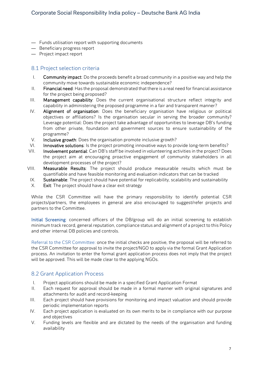- Funds utilisation report with supporting documents
- Beneficiary progress report
- Project impact report

#### 8.1 Project selection criteria

- I. Community impact: Do the proceeds benefit a broad community in a positive way and help the community move towards sustainable economic independence?
- II. Financial need: Has the proposal demonstrated that there is a real need for financial assistance for the project being proposed?
- III. Management capability: Does the current organisational structure reflect integrity and capability in administering the proposed programme in a fair and transparent manner?
- IV. Alignment of organisation: Does the beneficiary organisation have religious or political objectives or affiliations? Is the organisation secular in serving the broader community? Leverage potential: Does the project take advantage of opportunities to leverage DB's funding from other private, foundation and government sources to ensure sustainability of the programme?
- V. Inclusive growth: Does the organisation promote inclusive growth?
- VI. Innovative solutions: Is the project promoting innovative ways to provide long-term benefits?
- VII. Involvement potential: Can DB's staff be involved in volunteering activities in the project? Does the project aim at encouraging proactive engagement of community stakeholders in all development processes of the project?
- VIII. Measurable Results: The project should produce measurable results which must be quantifiable and have feasible monitoring and evaluation indicators that can be tracked
- IX. Sustainable: The project should have potential for replicability, scalability and sustainability
- X. Exit: The project should have a clear exit strategy

While the CSR Committee will have the primary responsibility to identify potential CSR projects/partners, the employees in general are also encouraged to suggest/refer projects and partners to the Committee.

Initial Screening: concerned officers of the DB/group will do an initial screening to establish minimum track record, general reputation, compliance status and alignment of a project to this Policy and other internal DB policies and controls.

Referral to the CSR Committee: once the initial checks are positive, the proposal will be referred to the CSR Committee for approval to invite the project/NGO to apply via the formal Grant Application process. An invitation to enter the formal grant application process does not imply that the project will be approved. This will be made clear to the applying NGOs.

#### 8.2 Grant Application Process

- I. Project applications should be made in a specified Grant Application Format
- II. Each request for approval should be made in a formal manner with original signatures and attachments for audit and record-keeping
- III. Each project should have provisions for monitoring and impact valuation and should provide periodic implementation reports
- IV. Each project application is evaluated on its own merits to be in compliance with our purpose and objectives
- V. Funding levels are flexible and are dictated by the needs of the organisation and funding availability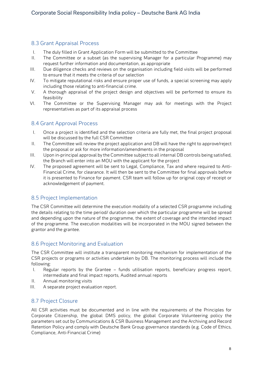# 8.3 Grant Appraisal Process

- I. The duly filled in Grant Application Form will be submitted to the Committee
- II. The Committee or a subset (as the supervising Manager for a particular Programme) may request further information and documentation, as appropriate
- III. Due diligence checks and reviews on the organisation including field visits will be performed to ensure that it meets the criteria of our selection
- IV. To mitigate reputational risks and ensure proper use of funds, a special screening may apply including those relating to anti-financial crime.
- V. A thorough appraisal of the project design and objectives will be performed to ensure its feasibility
- VI. The Committee or the Supervising Manager may ask for meetings with the Project representatives as part of its appraisal process

#### 8.4 Grant Approval Process

- I. Once a project is identified and the selection criteria are fully met, the final project proposal will be discussed by the full CSR Committee
- II. The Committee will review the project application and DB will have the right to approve/reject the proposal or ask for more information/amendments in the proposal
- III. Upon in-principal approval by the Committee subject to all internal DB controls being satisfied, the Branch will enter into an MOU with the applicant for the project
- IV. The proposed agreement will be sent to Legal, Compliance, Tax and where required to Anti-Financial Crime, for clearance. It will then be sent to the Committee for final approvals before it is presented to Finance for payment. CSR team will follow up for original copy of receipt or acknowledgement of payment.

# 8.5 Project Implementation

The CSR Committee will determine the execution modality of a selected CSR programme including the details relating to the time period/ duration over which the particular programme will be spread and depending upon the nature of the programme, the extent of coverage and the intended impact of the programme. The execution modalities will be incorporated in the MOU signed between the grantor and the grantee.

# 8.6 Project Monitoring and Evaluation

The CSR Committee will institute a transparent monitoring mechanism for implementation of the CSR projects or programs or activities undertaken by DB. The monitoring process will include the following:

- I. Regular reports by the Grantee funds utilisation reports, beneficiary progress report, intermediate and final impact reports, Audited annual reports
- II. Annual monitoring visits
- III. A separate project evaluation report.

# 8.7 Project Closure

All CSR activities must be documented and in line with the requirements of the Principles for Corporate Citizenship, the global DMS policy, the global Corporate Volunteering policy the parameters set out by Communications & CSR Business Management and the Archiving and Record Retention Policy and comply with Deutsche Bank Group governance standards (e.g. Code of Ethics, Compliance, Anti-Financial Crime)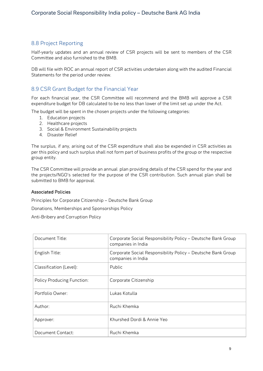# 8.8 Project Reporting

Half-yearly updates and an annual review of CSR projects will be sent to members of the CSR Committee and also furnished to the BMB.

DB will file with ROC an annual report of CSR activities undertaken along with the audited Financial Statements for the period under review.

#### 8.9 CSR Grant Budget for the Financial Year

For each financial year, the CSR Committee will recommend and the BMB will approve a CSR expenditure budget for DB calculated to be no less than lower of the limit set up under the Act.

The budget will be spent in the chosen projects under the following categories:

- 1. Education projects
- 2. Healthcare projects
- 3. Social & Environment Sustainability projects
- 4. Disaster Relief

The surplus, if any, arising out of the CSR expenditure shall also be expended in CSR activities as per this policy and such surplus shall not form part of business profits of the group or the respective group entity.

The CSR Committee will provide an annual plan providing details of the CSR spend for the year and the projects/NGO's selected for the purpose of the CSR contribution. Such annual plan shall be submitted to BMB for approval.

#### Associated Policies

Principles for Corporate Citizenship – Deutsche Bank Group

Donations, Memberships and Sponsorships Policy

Anti-Bribery and Corruption Policy

| Document Title:                   | Corporate Social Responsibility Policy - Deutsche Bank Group<br>companies in India |
|-----------------------------------|------------------------------------------------------------------------------------|
| English Title:                    | Corporate Social Responsibility Policy - Deutsche Bank Group<br>companies in India |
| Classification (Level):           | Public                                                                             |
| <b>Policy Producing Function:</b> | Corporate Citizenship                                                              |
| Portfolio Owner:                  | Lukas Kotulla                                                                      |
| Author:                           | Ruchi Khemka                                                                       |
| Approver:                         | Khurshed Dordi & Annie Yeo                                                         |
| Document Contact:                 | Ruchi Khemka                                                                       |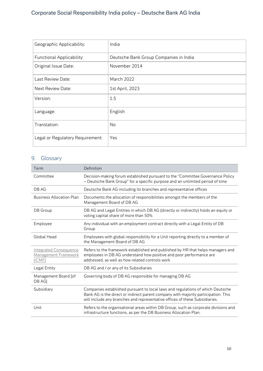# Corporate Social Responsibility India policy – Deutsche Bank AG India

| Geographic Applicability:        | India                                  |
|----------------------------------|----------------------------------------|
| Functional Applicability:        | Deutsche Bank Group Companies in India |
| Original Issue Date:             | November 2014                          |
| Last Review Date:                | <b>March 2022</b>                      |
| Next Review Date:                | 1st April, 2023                        |
| Version:                         | 1.5                                    |
| Language:                        | English                                |
| Translation:                     | No                                     |
| Legal or Regulatory Requirement: | Yes                                    |

# 9. Glossary

| Term                                                            | Definition                                                                                                                                                                                                                                          |
|-----------------------------------------------------------------|-----------------------------------------------------------------------------------------------------------------------------------------------------------------------------------------------------------------------------------------------------|
| Committee                                                       | Decision-making forum established pursuant to the "Committee Governance Policy<br>- Deutsche Bank Group" for a specific purpose and an unlimited period of time                                                                                     |
| DB AG                                                           | Deutsche Bank AG including its branches and representative offices                                                                                                                                                                                  |
| <b>Business Allocation Plan</b>                                 | Documents the allocation of responsibilities amongst the members of the<br>Management Board of DB AG                                                                                                                                                |
| DB Group                                                        | DB AG and Legal Entities in which DB AG (directly or indirectly) holds an equity or<br>voting capital share of more than 50%                                                                                                                        |
| Employee                                                        | Any individual with an employment contract directly with a Legal Entity of DB<br>Group                                                                                                                                                              |
| <b>Global Head</b>                                              | Employees with global responsibility for a Unit reporting directly to a member of<br>the Management Board of DB AG                                                                                                                                  |
| <b>Integrated Consequence</b><br>Management Framework<br>(iCMF) | Refers to the framework established and published by HR that helps managers and<br>employees in DB AG understand how positive and poor performance are<br>addressed, as well as how related controls work                                           |
| Legal Entity                                                    | DB AG and / or any of its Subsidiaries                                                                                                                                                                                                              |
| Management Board [of<br>DB AG]                                  | Governing body of DB AG responsible for managing DB AG                                                                                                                                                                                              |
| Subsidiary                                                      | Companies established pursuant to local laws and regulations of which Deutsche<br>Bank AG is the direct or indirect parent company with majority participation. This<br>will include any branches and representative offices of these Subsidiaries. |
| Unit                                                            | Refers to the organisational areas within DB Group, such as corporate divisions and<br>infrastructure functions, as per the DB Business Allocation Plan.                                                                                            |